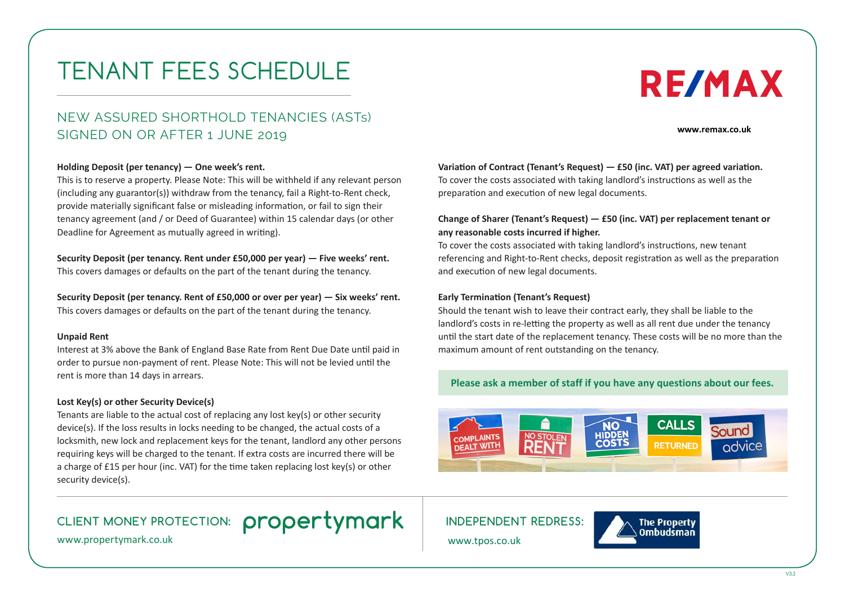# TENANT FEES SCHEDULE

## NEW ASSURED SHORTHOLD TENANCIES (ASTs) SIGNED ON OR AFTER 1 JUNE 2019

#### **Holding Deposit (per tenancy) — One week's rent.**

This is to reserve a property. Please Note: This will be withheld if any relevant person (including any guarantor(s)) withdraw from the tenancy, fail a Right-to-Rent check, provide materially significant false or misleading information, or fail to sign their tenancy agreement (and / or Deed of Guarantee) within 15 calendar days (or other Deadline for Agreement as mutually agreed in writing).

### **Security Deposit (per tenancy. Rent under £50,000 per year) — Five weeks' rent.**

This covers damages or defaults on the part of the tenant during the tenancy.

**Security Deposit (per tenancy. Rent of £50,000 or over per year) — Six weeks' rent.**  This covers damages or defaults on the part of the tenant during the tenancy.

#### **Unpaid Rent**

Interest at 3% above the Bank of England Base Rate from Rent Due Date until paid in order to pursue non-payment of rent. Please Note: This will not be levied until the rent is more than 14 days in arrears.

#### **Lost Key(s) or other Security Device(s)**

Tenants are liable to the actual cost of replacing any lost key(s) or other security device(s). If the loss results in locks needing to be changed, the actual costs of a locksmith, new lock and replacement keys for the tenant, landlord any other persons requiring keys will be charged to the tenant. If extra costs are incurred there will be a charge of £15 per hour (inc. VAT) for the time taken replacing lost key(s) or other security device(s).

## CLIENT MONEY PROTECTION: **propertymark** Independent redress:

www.propertymark.co.uk

#### Variation of Contract (Tenant's Request) - £50 (inc. VAT) per agreed variation.

To cover the costs associated with taking landlord's instructions as well as the preparation and execution of new legal documents.

#### **Change of Sharer (Tenant's Request) — £50 (inc. VAT) per replacement tenant or any reasonable costs incurred if higher.**

To cover the costs associated with taking landlord's instructions, new tenant referencing and Right-to-Rent checks, deposit registration as well as the preparation and execution of new legal documents.

#### **Early Termination (Tenant's Request)**

Should the tenant wish to leave their contract early, they shall be liable to the landlord's costs in re-letting the property as well as all rent due under the tenancy until the start date of the replacement tenancy. These costs will be no more than the maximum amount of rent outstanding on the tenancy.

#### Please ask a member of staff if you have any questions about our fees.



www.tpos.co.uk



**www.remax.co.uk**